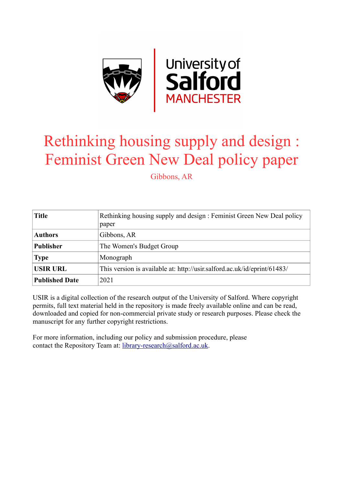

# Rethinking housing supply and design : Feminist Green New Deal policy paper

Gibbons, AR

| <b>Title</b>          | Rethinking housing supply and design : Feminist Green New Deal policy<br>paper |
|-----------------------|--------------------------------------------------------------------------------|
| <b>Authors</b>        | Gibbons, AR                                                                    |
| <b>Publisher</b>      | The Women's Budget Group                                                       |
| <b>Type</b>           | Monograph                                                                      |
| <b>USIR URL</b>       | This version is available at: http://usir.salford.ac.uk/id/eprint/61483/       |
| <b>Published Date</b> | 2021                                                                           |

USIR is a digital collection of the research output of the University of Salford. Where copyright permits, full text material held in the repository is made freely available online and can be read, downloaded and copied for non-commercial private study or research purposes. Please check the manuscript for any further copyright restrictions.

For more information, including our policy and submission procedure, please contact the Repository Team at: [library-research@salford.ac.uk.](mailto:library-research@salford.ac.uk)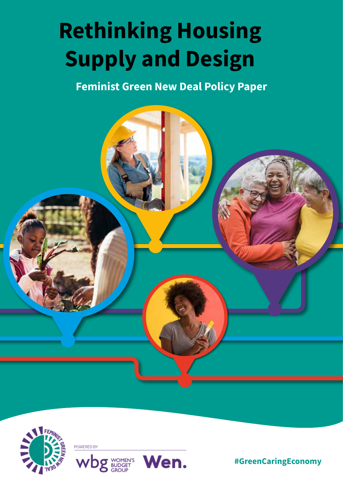# **Rethinking Housing Supply and Design**

**Feminist Green New Deal Policy Paper**





**#GreenCaringEconomy**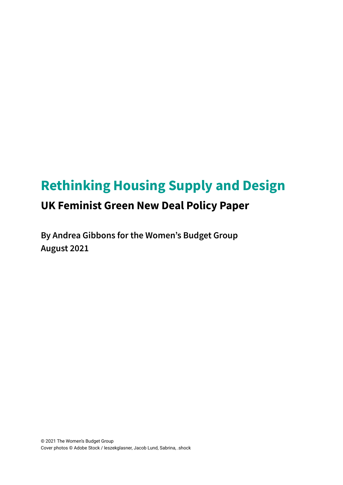# **Rethinking Housing Supply and Design UK Feminist Green New Deal Policy Paper**

**By Andrea Gibbons for the Women's Budget Group August 2021**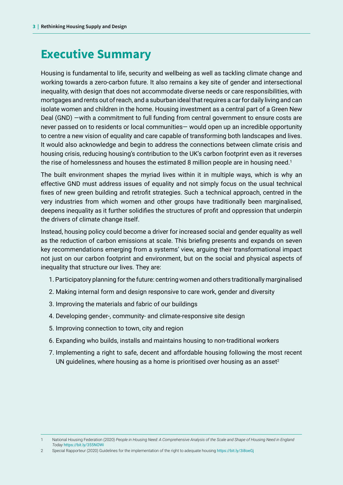### **Executive Summary**

Housing is fundamental to life, security and wellbeing as well as tackling climate change and working towards a zero-carbon future. It also remains a key site of gender and intersectional inequality, with design that does not accommodate diverse needs or care responsibilities, with mortgages and rents out of reach, and a suburban ideal that requires a car for daily living and can isolate women and children in the home. Housing investment as a central part of a Green New Deal (GND) —with a commitment to full funding from central government to ensure costs are never passed on to residents or local communities— would open up an incredible opportunity to centre a new vision of equality and care capable of transforming both landscapes and lives. It would also acknowledge and begin to address the connections between climate crisis and housing crisis, reducing housing's contribution to the UK's carbon footprint even as it reverses the rise of homelessness and houses the estimated 8 million people are in housing need.<sup>1</sup>

The built environment shapes the myriad lives within it in multiple ways, which is why an effective GND must address issues of equality and not simply focus on the usual technical fixes of new green building and retrofit strategies. Such a technical approach, centred in the very industries from which women and other groups have traditionally been marginalised, deepens inequality as it further solidifies the structures of profit and oppression that underpin the drivers of climate change itself.

Instead, housing policy could become a driver for increased social and gender equality as well as the reduction of carbon emissions at scale. This briefing presents and expands on seven key recommendations emerging from a systems' view, arguing their transformational impact not just on our carbon footprint and environment, but on the social and physical aspects of inequality that structure our lives. They are:

- 1. Participatory planning for the future: centring women and others traditionally marginalised
- 2. Making internal form and design responsive to care work, gender and diversity
- 3. Improving the materials and fabric of our buildings
- 4. Developing gender-, community- and climate-responsive site design
- 5. Improving connection to town, city and region
- 6. Expanding who builds, installs and maintains housing to non-traditional workers
- 7. Implementing a right to safe, decent and affordable housing following the most recent UN guidelines, where housing as a home is prioritised over housing as an asset<sup>2</sup>

2 Special Rapporteur (2020) Guidelines for the implementation of the right to adequate housing <https://bit.ly/3i8oeGj>

<sup>1</sup> National Housing Federation (2020) *People in Housing Need: A Comprehensive Analysis of the Scale and Shape of Housing Need in England Today* <https://bit.ly/355NOWi>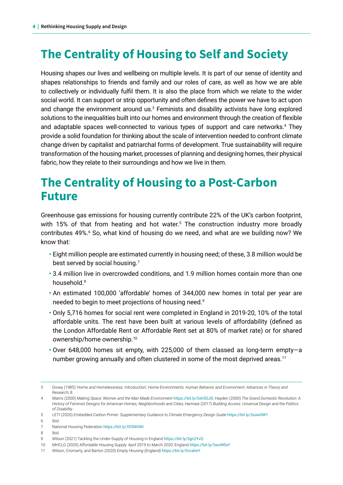# **The Centrality of Housing to Self and Society**

Housing shapes our lives and wellbeing on multiple levels. It is part of our sense of identity and shapes relationships to friends and family and our roles of care, as well as how we are able to collectively or individually fulfil them. It is also the place from which we relate to the wider social world. It can support or strip opportunity and often defines the power we have to act upon and change the environment around us.<sup>3</sup> Feminists and disability activists have long explored solutions to the inequalities built into our homes and environment through the creation of flexible and adaptable spaces well-connected to various types of support and care networks.<sup>4</sup> They provide a solid foundation for thinking about the scale of intervention needed to confront climate change driven by capitalist and patriarchal forms of development. True sustainability will require transformation of the housing market, processes of planning and designing homes, their physical fabric, how they relate to their surroundings and how we live in them.

### **The Centrality of Housing to a Post-Carbon Future**

Greenhouse gas emissions for housing currently contribute 22% of the UK's carbon footprint, with 15% of that from heating and hot water.<sup>5</sup> The construction industry more broadly contributes 49%.<sup>6</sup> So, what kind of housing do we need, and what are we building now? We know that:

- Eight million people are estimated currently in housing need; of these, 3.8 million would be best served by social housing. $7$
- 3.4 million live in overcrowded conditions, and 1.9 million homes contain more than one household.8
- An estimated 100,000 'affordable' homes of 344,000 new homes in total per year are needed to begin to meet projections of housing need.9
- Only 5,716 homes for social rent were completed in England in 2019-20, 10% of the total affordable units. The rest have been built at various levels of affordability (defined as the London Affordable Rent or Affordable Rent set at 80% of market rate) or for shared ownership/home ownership.10
- Over 648,000 homes sit empty, with 225,000 of them classed as long-term empty—a number growing annually and often clustered in some of the most deprived areas.<sup>11</sup>

8 Ibid.

10 MHCLG (2020) Affordable Housing Supply: April 2019 to March 2020, England <https://bit.ly/3woW0xf>

<sup>3</sup> Dovey (1985) 'Home and Homelessness: Introduction', H*ome Environments. Human Behavior and Environment: Advances in Theory and Research*, 8

<sup>4</sup> Matrix (2000) *Making Space: Women and the Man Made Environment* <https://bit.ly/3xh5OJD>; Hayden (2000) *The Grand Domestic Revolution: A History of Feminist Designs for American Homes, Neighborhoods and Cities; Hamraie* (2017) *Building Access: Universal Design and the Politics of Disability*.

<sup>5</sup> LETI (2020) *Embedded Carbon Primer: Supplementary Guidance to Climate Emergency Design Guide* <https://bit.ly/3xaw0W1>

<sup>6</sup> Ibid.

<sup>7</sup> National Housing Federation <https://bit.ly/355NOWi>

<sup>9</sup> Wilson (2021) Tackling the Under-Supply of Housing in England <https://bit.ly/3gn2YvQ>

<sup>11</sup> Wilson, Cromarty, and Barton (2020) *Empty Housing (England)* <https://bit.ly/3vcaheY>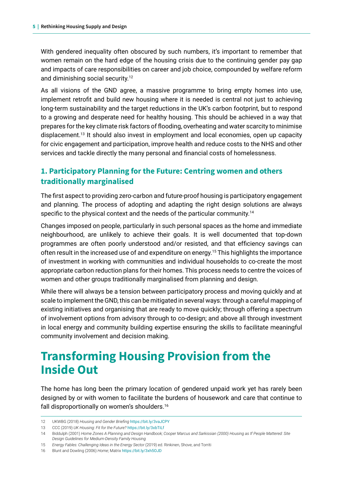With gendered inequality often obscured by such numbers, it's important to remember that women remain on the hard edge of the housing crisis due to the continuing gender pay gap and impacts of care responsibilities on career and job choice, compounded by welfare reform and diminishing social security.12

As all visions of the GND agree, a massive programme to bring empty homes into use, implement retrofit and build new housing where it is needed is central not just to achieving long-term sustainability and the target reductions in the UK's carbon footprint, but to respond to a growing and desperate need for healthy housing. This should be achieved in a way that prepares for the key climate risk factors of flooding, overheating and water scarcity to minimise displacement.<sup>13</sup> It should also invest in employment and local economies, open up capacity for civic engagement and participation, improve health and reduce costs to the NHS and other services and tackle directly the many personal and financial costs of homelessness.

#### **1. Participatory Planning for the Future: Centring women and others traditionally marginalised**

The first aspect to providing zero-carbon and future-proof housing is participatory engagement and planning. The process of adopting and adapting the right design solutions are always specific to the physical context and the needs of the particular community.<sup>14</sup>

Changes imposed on people, particularly in such personal spaces as the home and immediate neighbourhood, are unlikely to achieve their goals. It is well documented that top-down programmes are often poorly understood and/or resisted, and that efficiency savings can often result in the increased use of and expenditure on energy.15 This highlights the importance of investment in working with communities and individual households to co-create the most appropriate carbon reduction plans for their homes. This process needs to centre the voices of women and other groups traditionally marginalised from planning and design.

While there will always be a tension between participatory process and moving quickly and at scale to implement the GND, this can be mitigated in several ways: through a careful mapping of existing initiatives and organising that are ready to move quickly; through offering a spectrum of involvement options from advisory through to co-design; and above all through investment in local energy and community building expertise ensuring the skills to facilitate meaningful community involvement and decision making.

## **Transforming Housing Provision from the Inside Out**

The home has long been the primary location of gendered unpaid work yet has rarely been designed by or with women to facilitate the burdens of housework and care that continue to fall disproportionally on women's shoulders.16

<sup>12</sup> UKWBG (2018) *Housing and Gender Briefing* <https://bit.ly/3vaJCPY>

<sup>13</sup> CCC (2019) *UK Housing: Fit for the Future?* <https://bit.ly/3xbTiLf>

<sup>14</sup> Biddulph (2001) *Home Zones A Planning and Design Handbook; Cooper Marcus and Sarkissian (2000) Housing as If People Mattered: Site Design Guidelines for Medium-Density Family Housing*

<sup>15</sup> *Energy Fables: Challenging Ideas in the Energy Sector* (2019) ed. Rinkinen, Shove, and Torriti

<sup>16</sup> Blunt and Dowling (2006) *Home*; Matrix <https://bit.ly/3xh5OJD>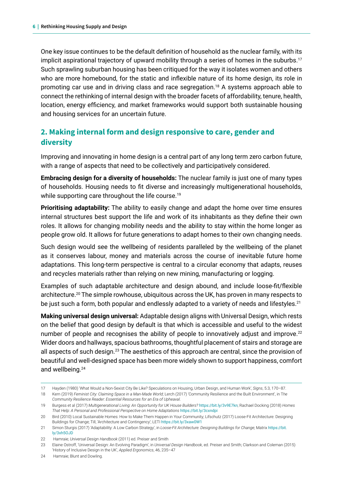One key issue continues to be the default definition of household as the nuclear family, with its implicit aspirational trajectory of upward mobility through a series of homes in the suburbs.<sup>17</sup> Such sprawling suburban housing has been critiqued for the way it isolates women and others who are more homebound, for the static and inflexible nature of its home design, its role in promoting car use and in driving class and race segregation.18 A systems approach able to connect the rethinking of internal design with the broader facets of affordability, tenure, health, location, energy efficiency, and market frameworks would support both sustainable housing and housing services for an uncertain future.

#### **2. Making internal form and design responsive to care, gender and diversity**

Improving and innovating in home design is a central part of any long term zero carbon future, with a range of aspects that need to be collectively and participatively considered.

**Embracing design for a diversity of households:** The nuclear family is just one of many types of households. Housing needs to fit diverse and increasingly multigenerational households, while supporting care throughout the life course.<sup>19</sup>

**Prioritising adaptability:** The ability to easily change and adapt the home over time ensures internal structures best support the life and work of its inhabitants as they define their own roles. It allows for changing mobility needs and the ability to stay within the home longer as people grow old. It allows for future generations to adapt homes to their own changing needs.

Such design would see the wellbeing of residents paralleled by the wellbeing of the planet as it conserves labour, money and materials across the course of inevitable future home adaptations. This long-term perspective is central to a circular economy that adapts, reuses and recycles materials rather than relying on new mining, manufacturing or logging.

Examples of such adaptable architecture and design abound, and include loose-fit/flexible architecture.20 The simple rowhouse, ubiquitous across the UK, has proven in many respects to be just such a form, both popular and endlessly adapted to a variety of needs and lifestyles.<sup>21</sup>

**Making universal design universal:** Adaptable design aligns with Universal Design, which rests on the belief that good design by default is that which is accessible and useful to the widest number of people and recognises the ability of people to innovatively adjust and improve.<sup>22</sup> Wider doors and hallways, spacious bathrooms, thoughtful placement of stairs and storage are all aspects of such design.<sup>23</sup> The aesthetics of this approach are central, since the provision of beautiful and well-designed space has been more widely shown to support happiness, comfort and wellbeing.24

<sup>17</sup> Hayden (1980) 'What Would a Non-Sexist City Be Like? Speculations on Housing, Urban Design, and Human Work', *Signs*, 5.3, 170–87.

<sup>18</sup> Kern (2019) *Feminist City: Claiming Space in a Man-Made World*; Lerch (2017) 'Community Resilience and the Built Environment', in T*he Community Resilience Reader: Essential Resources for an Era of Upheaval*.

<sup>19</sup> Burgess et al (2017) *Multigenerational Living: An Opportunity for UK House Builders?* <https://bit.ly/3v9E7kn>; Rachael Docking (2018) *Homes That Help: A Personal and Professional Perspective on Home Adaptations* <https://bit.ly/3cxndpi>

<sup>20</sup> Bird (2010) Local Sustainable Homes: How to Make Them Happen in Your Community; Lifschutz (2017) Loose-Fit Architecture: Designing Buildings for Change; Till, 'Architecture and Contingency'; LETI <https://bit.ly/3xaw0W1>

<sup>21</sup> Simon Sturgis (2017) 'Adaptability: A Low Carbon Strategy', in *Loose-Fit Architecture: Designing Buildings for Change*; Matrix [https://bit.](https://bit.ly/3xh5OJD) [ly/3xh5OJD](https://bit.ly/3xh5OJD)

<sup>22</sup> Hamraie; *Universal Design Handbook* (2011) ed. Preiser and Smith

<sup>23</sup> Elaine Ostroff, 'Universal Design: An Evolving Paradigm', in *Universal Design Handbook*, ed. Preiser and Smith; Clarkson and Coleman (2015) 'History of Inclusive Design in the UK', *Applied Ergonomics*, 46, 235–47

<sup>24</sup> Hamraie; Blunt and Dowling.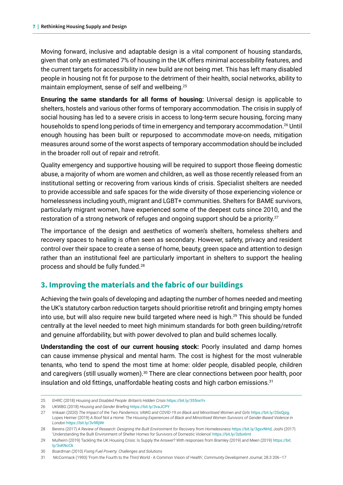Moving forward, inclusive and adaptable design is a vital component of housing standards, given that only an estimated 7% of housing in the UK offers minimal accessibility features, and the current targets for accessibility in new build are not being met. This has left many disabled people in housing not fit for purpose to the detriment of their health, social networks, ability to maintain employment, sense of self and wellbeing.25

**Ensuring the same standards for all forms of housing:** Universal design is applicable to shelters, hostels and various other forms of temporary accommodation. The crisis in supply of social housing has led to a severe crisis in access to long-term secure housing, forcing many households to spend long periods of time in emergency and temporary accommodation.<sup>26</sup> Until enough housing has been built or repurposed to accommodate move-on needs, mitigation measures around some of the worst aspects of temporary accommodation should be included in the broader roll out of repair and retrofit.

Quality emergency and supportive housing will be required to support those fleeing domestic abuse, a majority of whom are women and children, as well as those recently released from an institutional setting or recovering from various kinds of crisis. Specialist shelters are needed to provide accessible and safe spaces for the wide diversity of those experiencing violence or homelessness including youth, migrant and LGBT+ communities. Shelters for BAME survivors, particularly migrant women, have experienced some of the deepest cuts since 2010, and the restoration of a strong network of refuges and ongoing support should be a priority.<sup>27</sup>

The importance of the design and aesthetics of women's shelters, homeless shelters and recovery spaces to healing is often seen as secondary. However, safety, privacy and resident control over their space to create a sense of home, beauty, green space and attention to design rather than an institutional feel are particularly important in shelters to support the healing process and should be fully funded.28

#### **3. Improving the materials and the fabric of our buildings**

Achieving the twin goals of developing and adapting the number of homes needed and meeting the UK's statutory carbon reduction targets should prioritise retrofit and bringing empty homes into use, but will also require new build targeted where need is high.<sup>29</sup> This should be funded centrally at the level needed to meet high minimum standards for both green building/retrofit and genuine affordability, but with power devolved to plan and build schemes locally.

**Understanding the cost of our current housing stock:** Poorly insulated and damp homes can cause immense physical and mental harm. The cost is highest for the most vulnerable tenants, who tend to spend the most time at home: older people, disabled people, children and caregivers (still usually women).<sup>30</sup> There are clear connections between poor health, poor insulation and old fittings, unaffordable heating costs and high carbon emissions.<sup>31</sup>

<sup>25</sup> EHRC (2018) *Housing and Disabled People: Britain's Hidden Crisis* <https://bit.ly/355nxYv>

<sup>26</sup> UKWBG (2018) *Housing and Gender Briefing* <https://bit.ly/3vaJCPY>

<sup>27</sup> Imkaan (2020) *The Impact of the Two Pandemics: VAWG and COVID-19 on Black and Minoritised Women and Girls* <https://bit.ly/2SsQjzg>*;*  Lopes Heimer (2019) *A Roof Not a Home: The Housing Experiences of Black and Minoritised Women Survivors of Gender-Based Violence in London* <https://bit.ly/3v9RjWr>

<sup>28</sup> Berens (2017) *A Review of Research: Designing the Built Environment for Recovery from Homelessness* <https://bit.ly/3gsvNHd>; Joshi (2017) 'Understanding the Built Environment of Shelter Homes for Survivors of Domestic Violence' <https://bit.ly/3zbx6mt>

<sup>29</sup> Mulheirn (2019) Tackling the UK Housing Crisis: Is Supply the Answer? With responses from Bramley (2019) and Meen (2019) [https://bit.](https://bit.ly/3xKNcCk) [ly/3xKNcCk](https://bit.ly/3xKNcCk)

<sup>30</sup> Boardman (2010) *Fixing Fuel Poverty: Challenges and Solutions* 

<sup>31</sup> McCormack (1993) 'From the Fourth to the Third World - A Common Vision of Health', *Community Development Journal*, 28.3 206–17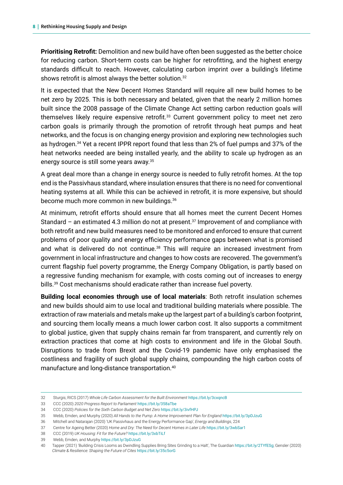**Prioritising Retrofit:** Demolition and new build have often been suggested as the better choice for reducing carbon. Short-term costs can be higher for retrofitting, and the highest energy standards difficult to reach. However, calculating carbon imprint over a building's lifetime shows retrofit is almost always the better solution.<sup>32</sup>

It is expected that the New Decent Homes Standard will require all new build homes to be net zero by 2025. This is both necessary and belated, given that the nearly 2 million homes built since the 2008 passage of the Climate Change Act setting carbon reduction goals will themselves likely require expensive retrofit.33 Current government policy to meet net zero carbon goals is primarily through the promotion of retrofit through heat pumps and heat networks, and the focus is on changing energy provision and exploring new technologies such as hydrogen.34 Yet a recent IPPR report found that less than 2% of fuel pumps and 37% of the heat networks needed are being installed yearly, and the ability to scale up hydrogen as an energy source is still some years away.35

A great deal more than a change in energy source is needed to fully retrofit homes. At the top end is the Passivhaus standard, where insulation ensures that there is no need for conventional heating systems at all. While this can be achieved in retrofit, it is more expensive, but should become much more common in new buildings.<sup>36</sup>

At minimum, retrofit efforts should ensure that all homes meet the current Decent Homes Standard – an estimated 4.3 million do not at present.<sup>37</sup> Improvement of and compliance with both retrofit and new build measures need to be monitored and enforced to ensure that current problems of poor quality and energy efficiency performance gaps between what is promised and what is delivered do not continue.<sup>38</sup> This will require an increased investment from government in local infrastructure and changes to how costs are recovered. The government's current flagship fuel poverty programme, the Energy Company Obligation, is partly based on a regressive funding mechanism for example, with costs coming out of increases to energy bills.39 Cost mechanisms should eradicate rather than increase fuel poverty.

**Building local economies through use of local materials**: Both retrofit insulation schemes and new builds should aim to use local and traditional building materials where possible. The extraction of raw materials and metals make up the largest part of a building's carbon footprint, and sourcing them locally means a much lower carbon cost. It also supports a commitment to global justice, given that supply chains remain far from transparent, and currently rely on extraction practices that come at high costs to environment and life in the Global South. Disruptions to trade from Brexit and the Covid-19 pandemic have only emphasised the costliness and fragility of such global supply chains, compounding the high carbon costs of manufacture and long-distance transportation.40

<sup>32</sup> Sturgis; RICS (2017) *Whole Life Carbon Assessment for the Built Environment* <https://bit.ly/3cxqncB>

<sup>33</sup> CCC (2020) *2020 Progress Report to Parliament* <https://bit.ly/358aTbe>

<sup>34</sup> CCC (2020) *Policies for the Sixth Carbon Budget and Net Zero* <https://bit.ly/3ivfHPJ>

<sup>35</sup> Webb, Emden, and Murphy (2020) *All Hands to the Pump: A Home Improvement Plan for England* <https://bit.ly/3pDJzuG>

<sup>36</sup> Mitchell and Natarajan (2020) 'UK Passivhaus and the Energy Performance Gap', *Energy and Buildings*, 224

<sup>37</sup> Centre for Ageing Better (2020) *Home and Dry: The Need for Decent Homes in Later Life* <https://bit.ly/3wbSar1>

<sup>38</sup> CCC (2019) *UK Housing: Fit for the Future?* <https://bit.ly/3xbTiLf>

<sup>39</sup> Webb, Emden, and Murphy <https://bit.ly/3pDJzuG>

<sup>40</sup> Tapper (2021) 'Building Crisis Looms as Dwindling Supplies Bring Sites Grinding to a Halt', The Guardian <https://bit.ly/2TYfESg>; Gensler (2020) *Climate & Resilience: Shaping the Future of Cites* <https://bit.ly/35c5orG>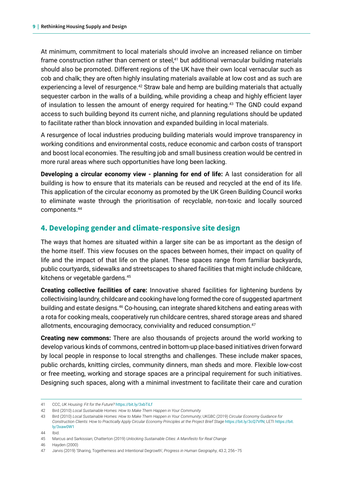At minimum, commitment to local materials should involve an increased reliance on timber frame construction rather than cement or steel,<sup>41</sup> but additional vernacular building materials should also be promoted. Different regions of the UK have their own local vernacular such as cob and chalk; they are often highly insulating materials available at low cost and as such are experiencing a level of resurgence.<sup>42</sup> Straw bale and hemp are building materials that actually sequester carbon in the walls of a building, while providing a cheap and highly efficient layer of insulation to lessen the amount of energy required for heating.43 The GND could expand access to such building beyond its current niche, and planning regulations should be updated to facilitate rather than block innovation and expanded building in local materials.

A resurgence of local industries producing building materials would improve transparency in working conditions and environmental costs, reduce economic and carbon costs of transport and boost local economies. The resulting job and small business creation would be centred in more rural areas where such opportunities have long been lacking.

**Developing a circular economy view - planning for end of life:** A last consideration for all building is how to ensure that its materials can be reused and recycled at the end of its life. This application of the circular economy as promoted by the UK Green Building Council works to eliminate waste through the prioritisation of recyclable, non-toxic and locally sourced components.44

#### **4. Developing gender and climate-responsive site design**

The ways that homes are situated within a larger site can be as important as the design of the home itself. This view focuses on the spaces between homes, their impact on quality of life and the impact of that life on the planet. These spaces range from familiar backyards, public courtyards, sidewalks and streetscapes to shared facilities that might include childcare, kitchens or vegetable gardens.45

**Creating collective facilities of care:** Innovative shared facilities for lightening burdens by collectivising laundry, childcare and cooking have long formed the core of suggested apartment building and estate designs.<sup>46</sup> Co-housing, can integrate shared kitchens and eating areas with a rota for cooking meals, cooperatively run childcare centres, shared storage areas and shared allotments, encouraging democracy, conviviality and reduced consumption.<sup>47</sup>

**Creating new commons:** There are also thousands of projects around the world working to develop various kinds of commons, centred in bottom-up place-based initiatives driven forward by local people in response to local strengths and challenges. These include maker spaces, public orchards, knitting circles, community dinners, man sheds and more. Flexible low-cost or free meeting, working and storage spaces are a principal requirement for such initiatives. Designing such spaces, along with a minimal investment to facilitate their care and curation

44 Ibid.

46 Hayden (2000)

<sup>41</sup> CCC, *UK Housing: Fit for the Future?* <https://bit.ly/3xbTiLf>

<sup>42</sup> Bird (2010) *Local Sustainable Homes: How to Make Them Happen in Your Community*

<sup>43</sup> Bird (2010) *Local Sustainable Homes: How to Make Them Happen in Your Community*; UKGBC (2019) *Circular Economy Guidance for Construction Clients: How to Practically Apply Circular Economy Principles at the Project Brief Stage* <https://bit.ly/3cQ7VfN>; LETI [https://bit.](https://bit.ly/3xaw0W1) [ly/3xaw0W1](https://bit.ly/3xaw0W1)

<sup>45</sup> Marcus and Sarkissian; Chatterton (2019) *Unlocking Sustainable Cities: A Manifesto for Real Change* 

<sup>47</sup> Jarvis (2019) 'Sharing, Togetherness and Intentional Degrowth', *Progress in Human Geography*, 43.2, 256–75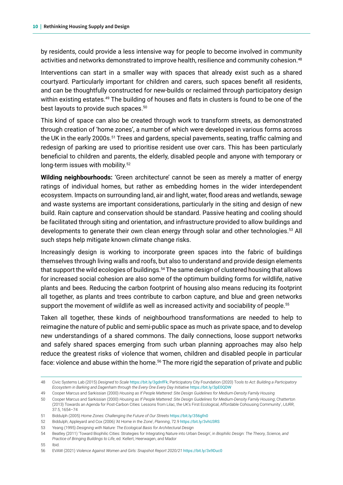by residents, could provide a less intensive way for people to become involved in community activities and networks demonstrated to improve health, resilience and community cohesion.<sup>48</sup>

Interventions can start in a smaller way with spaces that already exist such as a shared courtyard. Particularly important for children and carers, such spaces benefit all residents, and can be thoughtfully constructed for new-builds or reclaimed through participatory design within existing estates.<sup>49</sup> The building of houses and flats in clusters is found to be one of the best layouts to provide such spaces.<sup>50</sup>

This kind of space can also be created through work to transform streets, as demonstrated through creation of 'home zones', a number of which were developed in various forms across the UK in the early 2000s.<sup>51</sup> Trees and gardens, special pavements, seating, traffic calming and redesign of parking are used to prioritise resident use over cars. This has been particularly beneficial to children and parents, the elderly, disabled people and anyone with temporary or long-term issues with mobility.<sup>52</sup>

**Wilding neighbourhoods:** 'Green architecture' cannot be seen as merely a matter of energy ratings of individual homes, but rather as embedding homes in the wider interdependent ecosystem. Impacts on surrounding land, air and light, water, flood areas and wetlands, sewage and waste systems are important considerations, particularly in the siting and design of new build. Rain capture and conservation should be standard. Passive heating and cooling should be facilitated through siting and orientation, and infrastructure provided to allow buildings and developments to generate their own clean energy through solar and other technologies.53 All such steps help mitigate known climate change risks.

Increasingly design is working to incorporate green spaces into the fabric of buildings themselves through living walls and roofs, but also to understand and provide design elements that support the wild ecologies of buildings.<sup>54</sup> The same design of clustered housing that allows for increased social cohesion are also some of the optimum building forms for wildlife, native plants and bees. Reducing the carbon footprint of housing also means reducing its footprint all together, as plants and trees contribute to carbon capture, and blue and green networks support the movement of wildlife as well as increased activity and sociability of people.<sup>55</sup>

Taken all together, these kinds of neighbourhood transformations are needed to help to reimagine the nature of public and semi-public space as much as private space, and to develop new understandings of a shared commons. The daily connections, loose support networks and safely shared spaces emerging from such urban planning approaches may also help reduce the greatest risks of violence that women, children and disabled people in particular face: violence and abuse within the home.<sup>56</sup> The more rigid the separation of private and public

<sup>48</sup> Civic Systems Lab (2015) *Designed to Scale* <https://bit.ly/3gdnfFk>; Participatory City Foundation (2020) T*ools to Act: Building a Participatory Ecosystem in Barking and Dagenham through the Every One Every Day Initiative* <https://bit.ly/3pE0QDW>

<sup>49</sup> Cooper Marcus and Sarkissian (2000) *Housing as If People Mattered: Site Design Guidelines for Medium-Density Family Housing*

<sup>50</sup> Cooper Marcus and Sarkissian (2000) *Housing as If People Mattered: Site Design Guidelines for Medium-Density Family Housing*; Chatterton (2013) Towards an Agenda for Post-Carbon Cities: Lessons from Lilac, the UK's First Ecological, Affordable Cohousing Community', *IJURR*, 37.5, 1654–74

<sup>51</sup> Biddulph (2005) *Home Zones: Challenging the Future of Our Streets* <https://bit.ly/356gfn0>

<sup>52</sup> Biddulph; Appleyard and Cox (2006) 'At Home in the Zone', *Planning*, 72.9 <https://bit.ly/3vhU3RS>

<sup>53</sup> Yeang (1995) *Designing with Nature: The Ecological Basis for Architectural Design*

<sup>54</sup> Beatley (2011) 'Toward Biophilic Cities: Strategies for Integrating Nature into Urban Design', in *Biophilic Design: The Theory, Science, and Practice of Bringing Buildings to Life*, ed. Kellert, Heerwagen, and Mador

<sup>55</sup> Ibid.

<sup>56</sup> EVAW (2021) *Violence Against Women and Girls: Snapshot Report 2020/21* <https://bit.ly/3x9Duc0>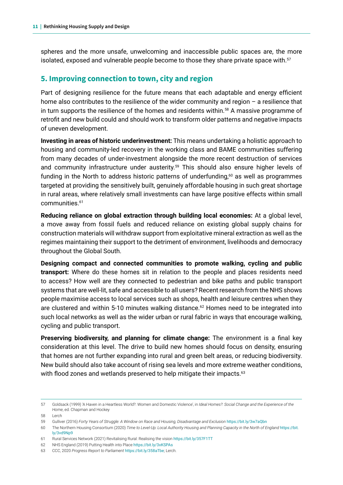spheres and the more unsafe, unwelcoming and inaccessible public spaces are, the more isolated, exposed and vulnerable people become to those they share private space with.<sup>57</sup>

#### **5. Improving connection to town, city and region**

Part of designing resilience for the future means that each adaptable and energy efficient home also contributes to the resilience of the wider community and region – a resilience that in turn supports the resilience of the homes and residents within.<sup>58</sup> A massive programme of retrofit and new build could and should work to transform older patterns and negative impacts of uneven development.

**Investing in areas of historic underinvestment:** This means undertaking a holistic approach to housing and community-led recovery in the working class and BAME communities suffering from many decades of under-investment alongside the more recent destruction of services and community infrastructure under austerity.<sup>59</sup> This should also ensure higher levels of funding in the North to address historic patterns of underfunding, $60$  as well as programmes targeted at providing the sensitively built, genuinely affordable housing in such great shortage in rural areas, where relatively small investments can have large positive effects within small communities.61

**Reducing reliance on global extraction through building local economies:** At a global level, a move away from fossil fuels and reduced reliance on existing global supply chains for construction materials will withdraw support from exploitative mineral extraction as well as the regimes maintaining their support to the detriment of environment, livelihoods and democracy throughout the Global South.

**Designing compact and connected communities to promote walking, cycling and public transport:** Where do these homes sit in relation to the people and places residents need to access? How well are they connected to pedestrian and bike paths and public transport systems that are well-lit, safe and accessible to all users? Recent research from the NHS shows people maximise access to local services such as shops, health and leisure centres when they are clustered and within 5-10 minutes walking distance.<sup>62</sup> Homes need to be integrated into such local networks as well as the wider urban or rural fabric in ways that encourage walking, cycling and public transport.

**Preserving biodiversity, and planning for climate change:** The environment is a final key consideration at this level. The drive to build new homes should focus on density, ensuring that homes are not further expanding into rural and green belt areas, or reducing biodiversity. New build should also take account of rising sea levels and more extreme weather conditions, with flood zones and wetlands preserved to help mitigate their impacts.<sup>63</sup>

58 Lerch

<sup>57</sup> Goldsack (1999) 'A Haven in a Heartless World?: Women and Domestic Violence', in *Ideal Homes?: Social Change and the Experience of the Home*, ed. Chapman and Hockey

<sup>59</sup> Gulliver (2016) *Forty Years of Struggle: A Window on Race and Housing, Disadvantage and Exclusion* <https://bit.ly/3w7aQbn>

<sup>60</sup> The Northern Housing Consortium (2020) *Time to Level-Up: Local Authority Housing and Planning Capacity in the North of England* [https://bit.](https://bit.ly/3vd9Np9) [ly/3vd9Np9](https://bit.ly/3vd9Np9)

<sup>61</sup> Rural Services Network (2021) Revitalising Rural: Realising the vision <https://bit.ly/357F1TT>

<sup>62</sup> NHS England (2019) Putting Health into Place <https://bit.ly/3xKSPAs>

<sup>63</sup> CCC, 2020 *Progress Report to Parliament* <https://bit.ly/358aTbe>; Lerch.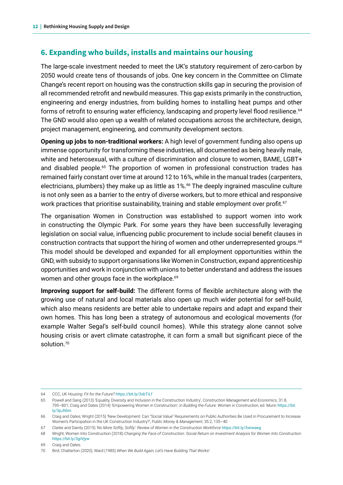#### **6. Expanding who builds, installs and maintains our housing**

The large-scale investment needed to meet the UK's statutory requirement of zero-carbon by 2050 would create tens of thousands of jobs. One key concern in the Committee on Climate Change's recent report on housing was the construction skills gap in securing the provision of all recommended retrofit and newbuild measures. This gap exists primarily in the construction, engineering and energy industries, from building homes to installing heat pumps and other forms of retrofit to ensuring water efficiency, landscaping and property level flood resilience.<sup>64</sup> The GND would also open up a wealth of related occupations across the architecture, design, project management, engineering, and community development sectors.

**Opening up jobs to non-traditional workers:** A high level of government funding also opens up immense opportunity for transforming these industries, all documented as being heavily male, white and heterosexual, with a culture of discrimination and closure to women, BAME, LGBT+ and disabled people.<sup>65</sup> The proportion of women in professional construction trades has remained fairly constant over time at around 12 to 16%, while in the manual trades (carpenters, electricians, plumbers) they make up as little as 1%.<sup>66</sup> The deeply ingrained masculine culture is not only seen as a barrier to the entry of diverse workers, but to more ethical and responsive work practices that prioritise sustainability, training and stable employment over profit.<sup>67</sup>

The organisation Women in Construction was established to support women into work in constructing the Olympic Park. For some years they have been successfully leveraging legislation on social value, influencing public procurement to include social benefit clauses in construction contracts that support the hiring of women and other underrepresented groups.<sup>68</sup> This model should be developed and expanded for all employment opportunities within the GND, with subsidy to support organisations like Women in Construction, expand apprenticeship opportunities and work in conjunction with unions to better understand and address the issues women and other groups face in the workplace.<sup>69</sup>

**Improving support for self-build:** The different forms of flexible architecture along with the growing use of natural and local materials also open up much wider potential for self-build, which also means residents are better able to undertake repairs and adapt and expand their own homes. This has long been a strategy of autonomous and ecological movements (for example Walter Segal's self-build council homes). While this strategy alone cannot solve housing crisis or avert climate catastrophe, it can form a small but significant piece of the solution.<sup>70</sup>

68 Wright; Women Into Construction (2018) *Changing the Face of Construction: Social Return on Investment Analysis for Women Into Construction* <https://bit.ly/3giVjyw>

69 Craig and Oates.

<sup>64</sup> CCC, *UK Housing: Fit for the Future?* <https://bit.ly/3xbTiLf>

<sup>65</sup> Powell and Sang (2013) 'Equality, Diversity and Inclusion in the Construction Industry', *Construction Management and Economics*, 31.8, 795–801; Craig and Oates (2014) 'Empowering Women in Construction', in *Building the Future: Women in Construction*, ed. Munn [https://bit.](https://bit.ly/3pJhlim) [ly/3pJhlim](https://bit.ly/3pJhlim)

<sup>66</sup> Craig and Oates; Wright (2015) 'New Development: Can "Social Value" Requirements on Public Authorities Be Used in Procurement to Increase Women's Participation in the UK Construction Industry?', *Public Money & Management*, 35.2, 135–40

<sup>67</sup> Clarke and Dainty (2015) *'No More Softly, Softly': Review of Women in the Construction Workforce* <https://bit.ly/3wiwaeg>

<sup>70</sup> Bird; Chatterton (2020); Ward (1985) *When We Build Again, Let's Have Building That Works!*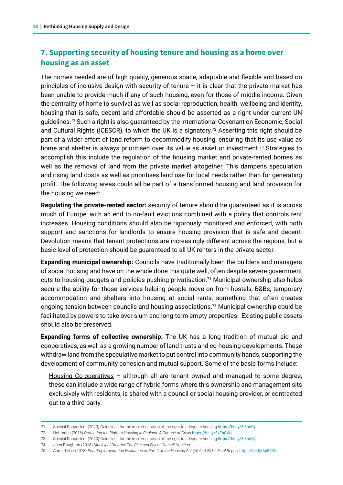#### **7. Supporting security of housing tenure and housing as a home over housing as an asset**

The homes needed are of high quality, generous space, adaptable and flexible and based on principles of inclusive design with security of tenure  $-$  it is clear that the private market has been unable to provide much if any of such housing, even for those of middle income. Given the centrality of home to survival as well as social reproduction, health, wellbeing and identity, housing that is safe, decent and affordable should be asserted as a right under current UN guidelines.<sup>71</sup> Such a right is also guaranteed by the International Covenant on Economic, Social and Cultural Rights (ICESCR), to which the UK is a signatory.<sup>72</sup> Asserting this right should be part of a wider effort of land reform to decommodify housing, ensuring that its use value as home and shelter is always prioritised over its value as asset or investment.<sup>73</sup> Strategies to accomplish this include the regulation of the housing market and private-rented homes as well as the removal of land from the private market altogether. This dampens speculation and rising land costs as well as prioritises land use for local needs rather than for generating profit. The following areas could all be part of a transformed housing and land provision for the housing we need:

**Regulating the private-rented sector:** security of tenure should be guaranteed as it is across much of Europe, with an end to no-fault evictions combined with a policy that controls rent increases. Housing conditions should also be rigorously monitored and enforced, with both support and sanctions for landlords to ensure housing provision that is safe and decent. Devolution means that tenant protections are increasingly different across the regions, but a basic level of protection should be guaranteed to all UK renters in the private sector.

**Expanding municipal ownership:** Councils have traditionally been the builders and managers of social housing and have on the whole done this quite well, often despite severe government cuts to housing budgets and policies pushing privatisation.<sup>74</sup> Municipal ownership also helps secure the ability for those services helping people move on from hostels, B&Bs, temporary accommodation and shelters into housing at social rents, something that often creates ongoing tension between councils and housing associations.<sup>75</sup> Municipal ownership could be facilitated by powers to take over slum and long-term empty properties. Existing public assets should also be preserved.

**Expanding forms of collective ownership:** The UK has a long tradition of mutual aid and cooperatives, as well as a growing number of land trusts and co-housing developments. These withdraw land from the speculative market to put control into community hands, supporting the development of community cohesion and mutual support. Some of the basic forms include:

Housing Co-operatives – although all are tenant owned and managed to some degree, these can include a wide range of hybrid forms where this ownership and management sits exclusively with residents, is shared with a council or social housing provider, or contracted out to a third party.

<sup>71</sup> Special Rapporteur (2020) Guidelines for the implementation of the right to adequate housing <https://bit.ly/3i8oeGj>.

<sup>72</sup> Hohmann (2016) Protecting the Right to Housing in England: A Context of Crisis <https://bit.ly/3xFhCWJ>

<sup>73</sup> Special Rapporteur (2020) Guidelines for the implementation of the right to adequate housing <https://bit.ly/3i8oeGj>

<sup>74</sup> John Boughton (2018) *Municipal Dreams: The Rise and Fall of Council Housing.*

<sup>75</sup> Ahmed et al (2018) *Post-Implementation Evaluation of Part 2 of the Housing Act (Wales) 2014: Final Report* <https://bit.ly/3pE6Yfq>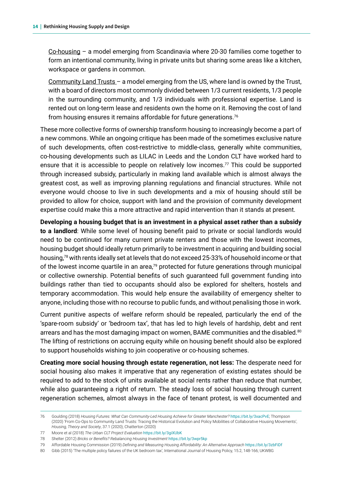Co-housing – a model emerging from Scandinavia where 20-30 families come together to form an intentional community, living in private units but sharing some areas like a kitchen, workspace or gardens in common.

Community Land Trusts – a model emerging from the US, where land is owned by the Trust, with a board of directors most commonly divided between 1/3 current residents, 1/3 people in the surrounding community, and 1/3 individuals with professional expertise. Land is rented out on long-term lease and residents own the home on it. Removing the cost of land from housing ensures it remains affordable for future generations.76

These more collective forms of ownership transform housing to increasingly become a part of a new commons. While an ongoing critique has been made of the sometimes exclusive nature of such developments, often cost-restrictive to middle-class, generally white communities, co-housing developments such as LILAC in Leeds and the London CLT have worked hard to ensure that it is accessible to people on relatively low incomes.<sup>77</sup> This could be supported through increased subsidy, particularly in making land available which is almost always the greatest cost, as well as improving planning regulations and financial structures. While not everyone would choose to live in such developments and a mix of housing should still be provided to allow for choice, support with land and the provision of community development expertise could make this a more attractive and rapid intervention than it stands at present.

**Developing a housing budget that is an investment in a physical asset rather than a subsidy to a landlord**: While some level of housing benefit paid to private or social landlords would need to be continued for many current private renters and those with the lowest incomes, housing budget should ideally return primarily to be investment in acquiring and building social housing,78 with rents ideally set at levels that do not exceed 25-33% of household income or that of the lowest income quartile in an area,<sup>79</sup> protected for future generations through municipal or collective ownership. Potential benefits of such guaranteed full government funding into buildings rather than tied to occupants should also be explored for shelters, hostels and temporary accommodation. This would help ensure the availability of emergency shelter to anyone, including those with no recourse to public funds, and without penalising those in work.

Current punitive aspects of welfare reform should be repealed, particularly the end of the 'spare-room subsidy' or 'bedroom tax', that has led to high levels of hardship, debt and rent arrears and has the most damaging impact on women, BAME communities and the disabled.<sup>80</sup> The lifting of restrictions on accruing equity while on housing benefit should also be explored to support households wishing to join cooperative or co-housing schemes.

**Creating more social housing through estate regeneration, not less:** The desperate need for social housing also makes it imperative that any regeneration of existing estates should be required to add to the stock of units available at social rents rather than reduce that number, while also guaranteeing a right of return. The steady loss of social housing through current regeneration schemes, almost always in the face of tenant protest, is well documented and

<sup>76</sup> Goulding (2018) *Housing Futures: What Can Community-Led Housing Achieve for Greater Manchester?* <https://bit.ly/3xacPvE>; Thompson (2020) 'From Co-Ops to Community Land Trusts: Tracing the Historical Evolution and Policy Mobilities of Collaborative Housing Movements', *Housing, Theory and Society*, 37.1 (2020); Chatterton (2020)

<sup>77</sup> Moore et al (2018) *The Urban CLT Project Evaluation* <https://bit.ly/3giXUbK>

<sup>78</sup> Shelter (2012) *Bricks or Benefits? Rebalancing Housing Investment* <https://bit.ly/3wpr5kp>

<sup>79</sup> Affordable Housing Commission (2019) *Defining and Measuring Housing Affordability: An Alternative Approach* <https://bit.ly/3zbFiDf>

<sup>80</sup> Gibb (2015) 'The multiple policy failures of the UK bedroom tax', International Journal of Housing Policy, 15.2, 148-166; UKWBG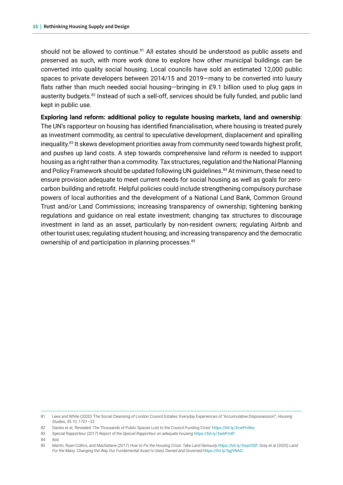should not be allowed to continue. $81$  All estates should be understood as public assets and preserved as such, with more work done to explore how other municipal buildings can be converted into quality social housing. Local councils have sold an estimated 12,000 public spaces to private developers between 2014/15 and 2019—many to be converted into luxury flats rather than much needed social housing—bringing in £9.1 billion used to plug gaps in austerity budgets.82 Instead of such a sell-off, services should be fully funded, and public land kept in public use.

**Exploring land reform: additional policy to regulate housing markets, land and ownership**: The UN's rapporteur on housing has identified financialisation, where housing is treated purely as investment commodity, as central to speculative development, displacement and spiralling inequality.83 It skews development priorities away from community need towards highest profit, and pushes up land costs. A step towards comprehensive land reform is needed to support housing as a right rather than a commodity. Tax structures, regulation and the National Planning and Policy Framework should be updated following UN guidelines.<sup>84</sup> At minimum, these need to ensure provision adequate to meet current needs for social housing as well as goals for zerocarbon building and retrofit. Helpful policies could include strengthening compulsory purchase powers of local authorities and the development of a National Land Bank, Common Ground Trust and/or Land Commissions; increasing transparency of ownership; tightening banking regulations and guidance on real estate investment; changing tax structures to discourage investment in land as an asset, particularly by non-resident owners; regulating Airbnb and other tourist uses; regulating student housing; and increasing transparency and the democratic ownership of and participation in planning processes.<sup>85</sup>

<sup>81</sup> Lees and White (2020) 'The Social Cleansing of London Council Estates: Everyday Experiences of "Accumulative Dispossession"', *Housing Studies*, 35.10, 1701–22

<sup>82</sup> Davies et al, 'Revealed: The Thousands of Public Spaces Lost to the Council Funding Crisis' <https://bit.ly/3cwPmNw>

<sup>83</sup> Special Rapporteur (2017) *Report of the Special Rapporteur on adequate housing* <https://bit.ly/3wbPmtP>

<sup>84</sup> Ibid.

<sup>85</sup> Martin, Ryan-Collins, and Macfarlane (2017) *How to Fix the Housing Crisis: Take Land Seriously* <https://bit.ly/3wprOSF>; Grey et al (2020) *Land For the Many: Changing the Way Our Fundamental Asset Is Used, Owned and Governed* <https://bit.ly/3gjYNAO>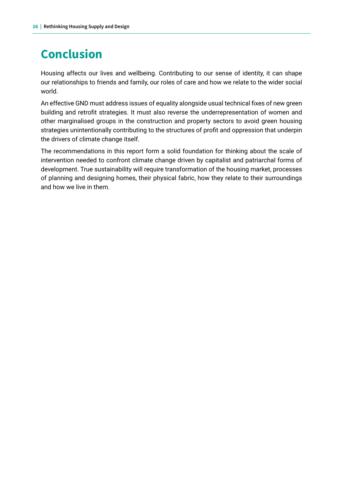# **Conclusion**

Housing affects our lives and wellbeing. Contributing to our sense of identity, it can shape our relationships to friends and family, our roles of care and how we relate to the wider social world.

An effective GND must address issues of equality alongside usual technical fixes of new green building and retrofit strategies. It must also reverse the underrepresentation of women and other marginalised groups in the construction and property sectors to avoid green housing strategies unintentionally contributing to the structures of profit and oppression that underpin the drivers of climate change itself.

The recommendations in this report form a solid foundation for thinking about the scale of intervention needed to confront climate change driven by capitalist and patriarchal forms of development. True sustainability will require transformation of the housing market, processes of planning and designing homes, their physical fabric, how they relate to their surroundings and how we live in them.